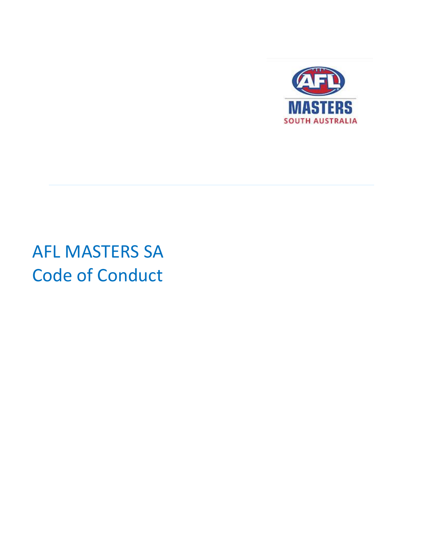

# AFL MASTERS SA Code of Conduct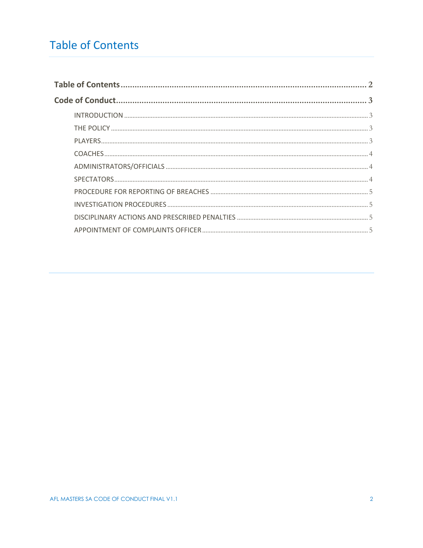## <span id="page-1-0"></span>**Table of Contents**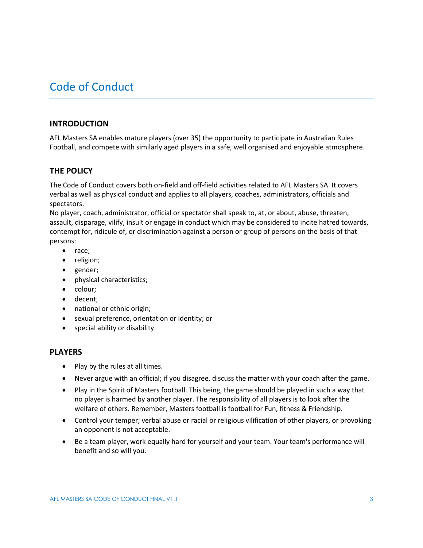### <span id="page-2-0"></span>Code of Conduct

#### <span id="page-2-1"></span>**INTRODUCTION**

AFL Masters SA enables mature players (over 35) the opportunity to participate in Australian Rules Football, and compete with similarly aged players in a safe, well organised and enjoyable atmosphere.

#### <span id="page-2-2"></span>**THE POLICY**

The Code of Conduct covers both on-field and off-field activities related to AFL Masters SA. It covers verbal as well as physical conduct and applies to all players, coaches, administrators, officials and spectators.

No player, coach, administrator, official or spectator shall speak to, at, or about, abuse, threaten, assault, disparage, vilify, insult or engage in conduct which may be considered to incite hatred towards, contempt for, ridicule of, or discrimination against a person or group of persons on the basis of that persons:

- race;
- religion;
- gender;
- physical characteristics;
- colour;
- decent;
- national or ethnic origin;
- sexual preference, orientation or identity; or
- special ability or disability.

#### <span id="page-2-3"></span>**PLAYERS**

- Play by the rules at all times.
- Never argue with an official; if you disagree, discuss the matter with your coach after the game.
- Play in the Spirit of Masters football. This being, the game should be played in such a way that no player is harmed by another player. The responsibility of all players is to look after the welfare of others. Remember, Masters football is football for Fun, fitness & Friendship.
- Control your temper; verbal abuse or racial or religious vilification of other players, or provoking an opponent is not acceptable.
- Be a team player, work equally hard for yourself and your team. Your team's performance will benefit and so will you.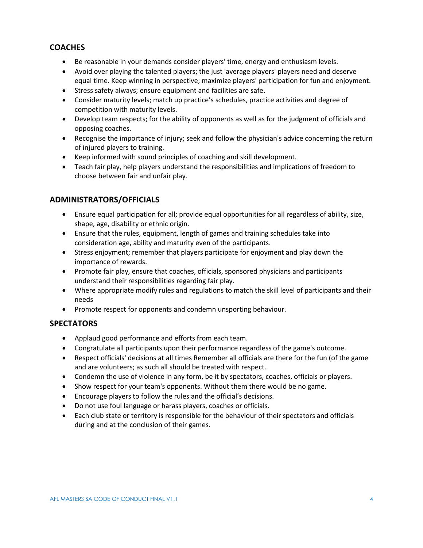#### <span id="page-3-0"></span>**COACHES**

- Be reasonable in your demands consider players' time, energy and enthusiasm levels.
- Avoid over playing the talented players; the just 'average players' players need and deserve equal time. Keep winning in perspective; maximize players' participation for fun and enjoyment.
- Stress safety always; ensure equipment and facilities are safe.
- Consider maturity levels; match up practice's schedules, practice activities and degree of competition with maturity levels.
- Develop team respects; for the ability of opponents as well as for the judgment of officials and opposing coaches.
- Recognise the importance of injury; seek and follow the physician's advice concerning the return of injured players to training.
- Keep informed with sound principles of coaching and skill development.
- Teach fair play, help players understand the responsibilities and implications of freedom to choose between fair and unfair play.

#### <span id="page-3-1"></span>**ADMINISTRATORS/OFFICIALS**

- Ensure equal participation for all; provide equal opportunities for all regardless of ability, size, shape, age, disability or ethnic origin.
- Ensure that the rules, equipment, length of games and training schedules take into consideration age, ability and maturity even of the participants.
- Stress enjoyment; remember that players participate for enjoyment and play down the importance of rewards.
- Promote fair play, ensure that coaches, officials, sponsored physicians and participants understand their responsibilities regarding fair play.
- Where appropriate modify rules and regulations to match the skill level of participants and their needs
- Promote respect for opponents and condemn unsporting behaviour.

#### <span id="page-3-2"></span>**SPECTATORS**

- Applaud good performance and efforts from each team.
- Congratulate all participants upon their performance regardless of the game's outcome.
- Respect officials' decisions at all times Remember all officials are there for the fun (of the game and are volunteers; as such all should be treated with respect.
- Condemn the use of violence in any form, be it by spectators, coaches, officials or players.
- Show respect for your team's opponents. Without them there would be no game.
- Encourage players to follow the rules and the official's decisions.
- Do not use foul language or harass players, coaches or officials.
- Each club state or territory is responsible for the behaviour of their spectators and officials during and at the conclusion of their games.